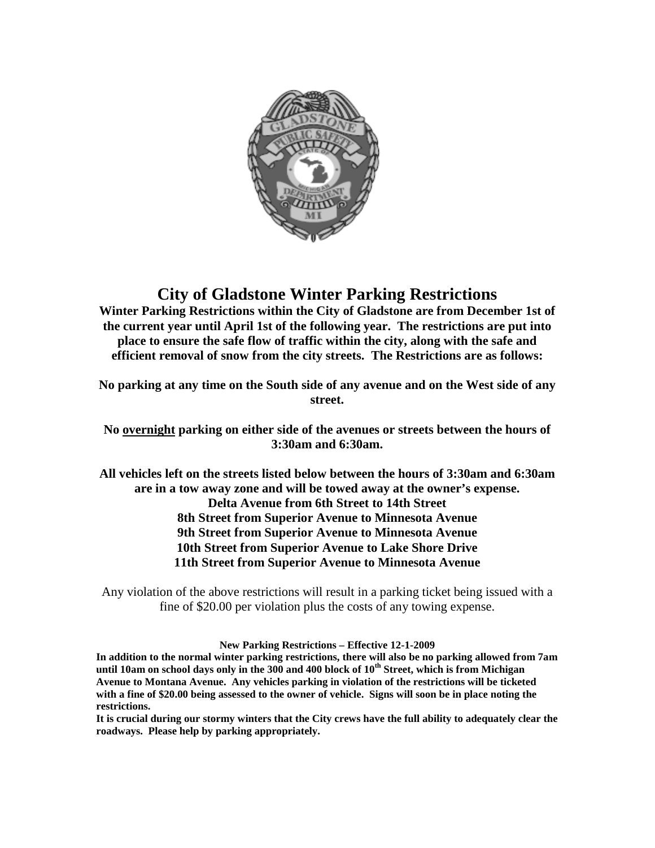

## **City of Gladstone Winter Parking Restrictions**

**Winter Parking Restrictions within the City of Gladstone are from December 1st of the current year until April 1st of the following year. The restrictions are put into place to ensure the safe flow of traffic within the city, along with the safe and efficient removal of snow from the city streets. The Restrictions are as follows:**

**No parking at any time on the South side of any avenue and on the West side of any street.**

**No overnight parking on either side of the avenues or streets between the hours of 3:30am and 6:30am.**

**All vehicles left on the streets listed below between the hours of 3:30am and 6:30am are in a tow away zone and will be towed away at the owner's expense. Delta Avenue from 6th Street to 14th Street 8th Street from Superior Avenue to Minnesota Avenue 9th Street from Superior Avenue to Minnesota Avenue 10th Street from Superior Avenue to Lake Shore Drive 11th Street from Superior Avenue to Minnesota Avenue**

Any violation of the above restrictions will result in a parking ticket being issued with a fine of \$20.00 per violation plus the costs of any towing expense.

**New Parking Restrictions – Effective 12-1-2009**

**In addition to the normal winter parking restrictions, there will also be no parking allowed from 7am until 10am on school days only in the 300 and 400 block of 10th Street, which is from Michigan Avenue to Montana Avenue. Any vehicles parking in violation of the restrictions will be ticketed with a fine of \$20.00 being assessed to the owner of vehicle. Signs will soon be in place noting the restrictions.** 

**It is crucial during our stormy winters that the City crews have the full ability to adequately clear the roadways. Please help by parking appropriately.**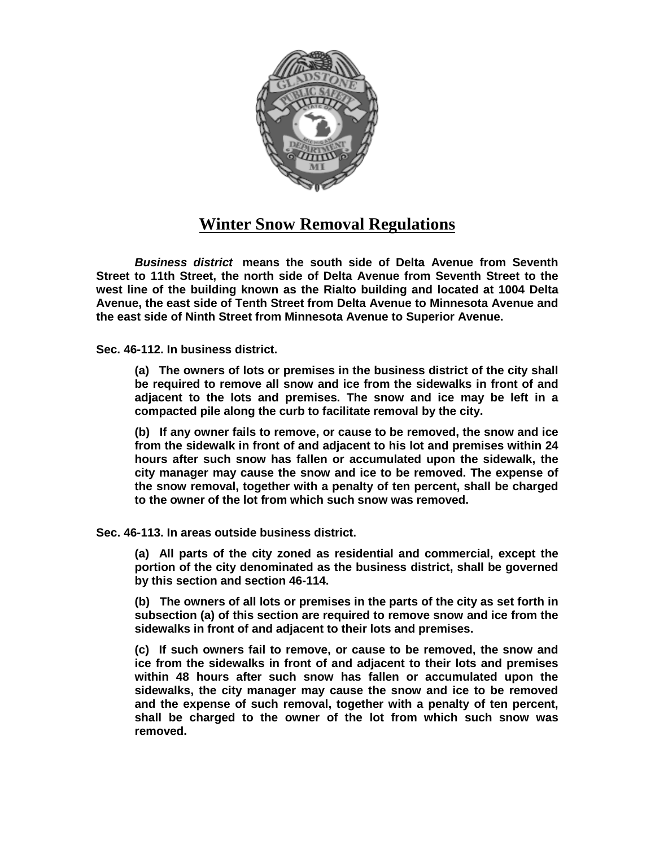

## **Winter Snow Removal Regulations**

*Business district* **means the south side of Delta Avenue from Seventh Street to 11th Street, the north side of Delta Avenue from Seventh Street to the west line of the building known as the Rialto building and located at 1004 Delta Avenue, the east side of Tenth Street from Delta Avenue to Minnesota Avenue and the east side of Ninth Street from Minnesota Avenue to Superior Avenue.**

**Sec. 46-112. In business district.**

**(a) The owners of lots or premises in the business district of the city shall be required to remove all snow and ice from the sidewalks in front of and adjacent to the lots and premises. The snow and ice may be left in a compacted pile along the curb to facilitate removal by the city.**

**(b) If any owner fails to remove, or cause to be removed, the snow and ice from the sidewalk in front of and adjacent to his lot and premises within 24 hours after such snow has fallen or accumulated upon the sidewalk, the city manager may cause the snow and ice to be removed. The expense of the snow removal, together with a penalty of ten percent, shall be charged to the owner of the lot from which such snow was removed.**

**Sec. 46-113. In areas outside business district.**

**(a) All parts of the city zoned as residential and commercial, except the portion of the city denominated as the business district, shall be governed by this section and section 46-114.**

**(b) The owners of all lots or premises in the parts of the city as set forth in subsection (a) of this section are required to remove snow and ice from the sidewalks in front of and adjacent to their lots and premises.**

**(c) If such owners fail to remove, or cause to be removed, the snow and ice from the sidewalks in front of and adjacent to their lots and premises within 48 hours after such snow has fallen or accumulated upon the sidewalks, the city manager may cause the snow and ice to be removed and the expense of such removal, together with a penalty of ten percent, shall be charged to the owner of the lot from which such snow was removed.**